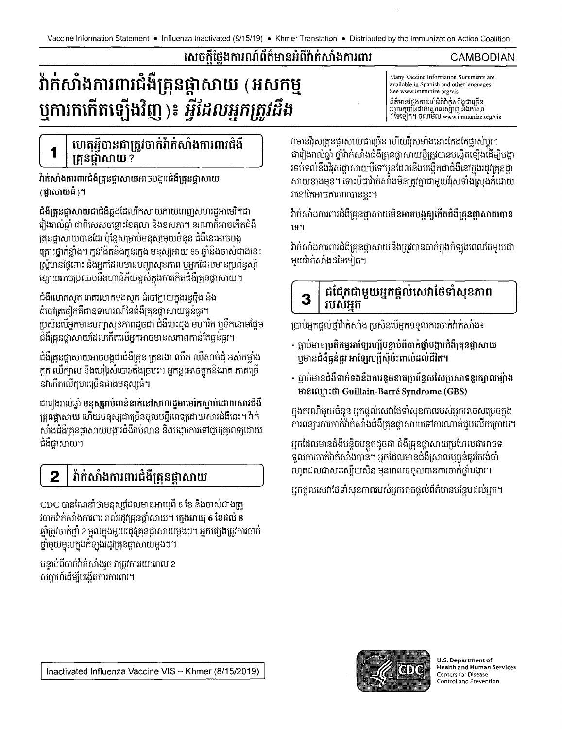## សេចក្តីថ្លែងការណ៍ព័ត៌មានអំពីវ៉ាក់សាំងការពារ

# វ៉ាក់សាំងការពារជំងឺគ្រុនផ្កាសាយ (អសកម្ម ឬការកកើតឡើងវិញ )៖ *អ្វីដែលអ្នកត្រូវដឹង*

### ហេតុអ្វីបានជាត្រូវចាក់វ៉ាក់សាំងការពារជំងឺ គ្រនផ្តាំសាយ ?

វ៉ាក់សាំងការពារជំងឺគ្រុនផ្តាសាយអាចបង្ការជំងឺគ្រុនផ្តាសាយ (ជាសាយធំ)។

ជំងឺគ្រុនផ្តាសាយជាជំងឺឆ្លងដែលរីកសាយភាយពេញសហរដ្ឋអាមេរិកជា រៀងរាល់ឆ្នាំ ជាពិសេសចន្លោះខែតុលា និងឧសភា។ នរណាក៏អាចកើតជំងឺ គ្រុនផ្តាសាយបានដែរ ប៉ុន្តែសម្រាប់មនុស្សមួយចំនួន ជំងឺនេះអាចបង្ក គ្រោះថ្នាក់ខ្លាំង។ កូនង៉ែតនិងកូនក្មេង មនុស្សអាយុ 65 ឆ្នាំនិងចាស់ជាងនេះ ស្ត្រីមានផ្ទៃពោះ និងអ្នកដែលមានបញ្ហាសុខភាព បុអ្នកដែលមានប្រព័ន្ធស៊ាំ ខ្សោយអាចប្រឈមនឹងហានិភ័យខ្ពស់ក្នុងការកើតជំងឺគ្រុនផ្តាសាយ។

ជំងឺរលាកសួត រោគរលាកទងសួត ដំបៅក្លាយក្នុងរន្ធឆ្អឹង និង ដំបៅត្រចៀកគឺជាឧទាហរណ៍នៃជំងឺគ្រុនផ្តាសាយធ្ងន់ធ្ងរ។ ប្រសិនបើអ្នកមានបញ្ហាសុខភាពដូចជា ជំងឺបេះដូង មហារីក ឬទឹកនោមផ្អែម ជំងឺគ្រុនផ្តាសាយដែលកើតលើអ្នកអាចមានសភាពកាន់តែធ្ងន់ធ្ងរ។

ជំងឺគ្រុនផ្តាសាយអាចបង្កជាជំងឺគ្រុន គ្រុនរងា ឈឺក ឈឺសាច់ដុំ អស់កម្លាំង ក្អក ឈឺក្បាល និងហៀរសំបោរ/តឹងច្រមុះ។ អ្នកខ្លះអាចក្អួតនិងរាគ ភាគច្រើ នវាកើតលើកុមារច្រើនជាងមនុស្សធំ។

ជារៀងរាល់ឆ្នាំ មនុស្សរាប់ពាន់នាក់នៅសហរដ្ឋអាមេរិកស្លាប់ដោយសារជំងឺ ត្រួនផ្តាសាយ ហើយមនុស្សជាច្រើនចូលមន្ទីរពេទ្យដោយសារជំងឺនេះ។ វ៉ាក់ សាំងជំងឺគ្រុនផ្កាសាយបង្ហារជំងឺរាប់លាន និងបង្ការការទៅជួបគ្រូពេទ្យដោយ ជំងឺផ្តាសាយ។

#### វ៉ាក់សាំងការពារជំងឺគ្រុនផ្កាសាយ 2

CDC បានណែនាំថាមនុស្សដែលមានអាយុពី 6 ខែ និងចាស់ជាងត្រូ វចាក់វ៉ាក់សាំងការពារ រាល់រដូវគ្រុនផ្តាំសាយ។ ក្មេងអាយុ 6 ខែដល់ 8 ឆ្នាំត្រូវចាក់ថ្នាំ 2 មូលក្នុងមួយរដូវគ្រុនផ្តាសាយម្តងៗ។ **អ្នកផ្សេង**ត្រូវការចាក់ ថ្នាំមួយមួលក្នុងកំឡុងរដូវគ្រុនផ្តាសាយម្តងៗ។

បន្ទាប់ពីចាក់វ៉ាក់សាំងរួច វាត្រូវការរយៈពេល 2 សប្តាហ៍ដើម្បីបង្កើតការការពារ។

Many Vaccine Information Statements are available in Spanish and other languages. See www.immunize.org/vis ព័ត៌មានថែងការណ៍អំពីវ៉ាក់សាំងជាច្រើន 

CAMBODIAN

វាមានវីរុសគ្រុនផ្តាសាយជាច្រើន ហើយវីរុសទាំងនោះតែងតែផ្លាស់ប្តូរ។ ជារៀងរាល់ឆ្នាំ ថ្នាំវ៉ាក់សាំងជំងឺគ្រុនផ្កាសាយថ្មីត្រូវបានបង្កើតទ្បើងដើម្បីបង្គា រទប់ទល់នឹងវីរុសផ្តាសាយបីទៅបួនដែលនឹងបង្កើតជាជំងឺនៅក្នុងរដូវគ្រុនផ្កា សាយខាងមុខ។ ទោះបីជាវ៉ាក់សាំងមិនត្រូវគ្នាជាមួយវីរុសទាំងស្រុងក៏ដោយ វ៉ានៅតែអាចការពារបានខ្លះ។

វ៉ាក់សាំងការពារជំងឺគ្រុនផ្កាសាយមិនអាចបង្កឲ្យកើតជំងឺគ្រុនផ្កាសាយបាន ទេ។

វ៉ាក់សាំងការពារជំងឺគ្រុនផ្កាសាយនឹងត្រូវបានចាក់ក្នុងកំឡុងពេលតែមួយជា មួយវ៉ាក់សាំងដទៃទៀត។

#### ជជែកជាមួយអ្នកផ្តល់សេវាថែទាំសុខភាព 3 របសអក

ប្រាប់អ្នកផ្តល់ថ្នាំវ៉ាក់សាំង ប្រសិនបើអ្នកទទួលការចាក់វ៉ាក់សាំង៖

- ធ្លាប់មានប្រតិកម្មអាទ្បែរហ្ស៊ីបន្ទាប់ពីចាក់ថ្នាំបង្ការជំងឺគ្រូនផ្កាសាយ បុមានជំងឺធ្ងន់ធ្ងរ អាឡែរហ្ស៊ីស៊ីប៉ះពាល់ដល់ជីវិត។
- ធ្លាប់មានជំងឺទាក់ទងនឹងការខូចខាតប្រព័ន្ធសសៃប្រសាទខួរក្បាលម្យ៉ាង មានឈ្មោះថា Guillain-Barré Syndrome (GBS)

ក្នុងករណីមួយចំនួន អ្នកផ្តល់សេវាថែទាំសុខកាពរបស់អ្នកអាចសម្រេចក្នុង ការពន្យារការចាក់វ៉ាក់សាំងជំងឺគ្រុនផ្តាសាយទៅការណាត់ជួបលើកក្រោយ។

អ្នកដែលមានជំងឺបន្តិចបន្តួចដូចជា ជំងឺគ្រុនផ្តាសាយប្រហែលជាអាចទ ទួលការចាក់វ៉ាក់សាំងបាន។ អ្នកដែលមានជំងឺស្រាលបុច្ចន់គួរតែរង់ចាំ រហូតដលជាសះស្បើយសិន មុនពេលទទួលបានការចាក់ថ្នាំបង្ការ។

អ្នកផ្តួលសេវាថៃទាំសុខភាពរបស់អ្នកអាចផ្តល់ព័ត៌មានបន្ថែមដល់អ្នក។



U.S. Department of **Health and Human Services** Centers for Disease Control and Prevention